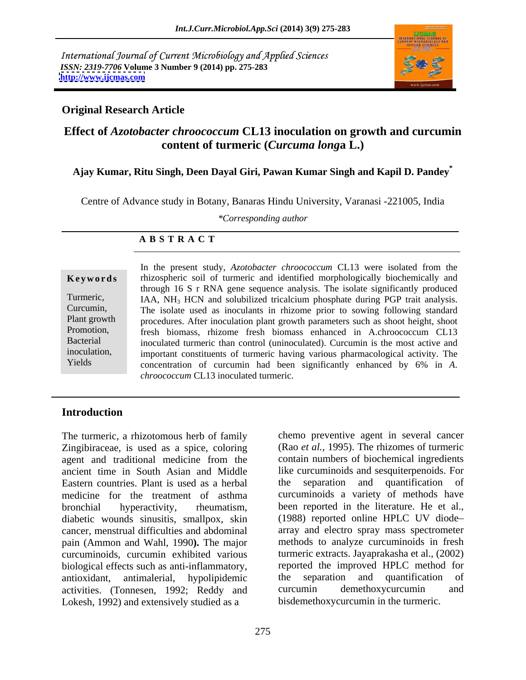International Journal of Current Microbiology and Applied Sciences *ISSN: 2319-7706* **Volume 3 Number 9 (2014) pp. 275-283 <http://www.ijcmas.com>**



## **Original Research Article**

## **Effect of** *Azotobacter chroococcum* **CL13 inoculation on growth and curcumin content of turmeric (***Curcuma long***a L.)**

### **Ajay Kumar, Ritu Singh, Deen Dayal Giri, Pawan Kumar Singh and Kapil D. Pandey\***

Centre of Advance study in Botany, Banaras Hindu University, Varanasi -221005, India

*\*Corresponding author* 

### **A B S T R A C T**

**Keywords** rhizospheric soil of turmeric and identified morphologically biochemically and Turmeric, IAA, NH<sub>3</sub> HCN and solubilized tricalcium phosphate during PGP trait analysis. Curcumin, The isolate used as inoculants in rhizome prior to sowing following standard Plant growth procedures. After inoculation plant growth parameters such as shoot height, shoot Promotion, Fresh biomass, rhizome fresh biomass enhanced in A.chroococcum CL13<br>Bacterial inoculated turmeric than control (uninoculated). Curcumin is the most active and inoculation, important constituents of turmeric having various pharmacological activity. The Yields concentration of curcumin had been significantly enhanced by 6% in *A*. In the present study, *Azotobacter chroococcum* CL13 were isolated from the through 16 S r RNA gene sequence analysis. The isolate significantly produced inoculated turmeric than control (uninoculated). Curcumin is the most active and *chroococcum* CL13 inoculated turmeric.

## **Introduction**

The turmeric, a rhizotomous herb of family Zingibiraceae, is used as a spice, coloring (Rao *et al.,* 1995). The rhizomes of turmeric agent and traditional medicine from the ancient time in South Asian and Middle like curcuminoids and sesquiterpenoids. For Eastern countries. Plant is used as a herbal medicine for the treatment of asthma curcuminoids a variety of methods have bronchial hyperactivity, rheumatism, been reported in the literature. He et al., diabetic wounds sinusitis, smallpox, skin (1988) reported online HPLC UV diodediabetic wounds sinusitis, smallpox, skin cancer, menstrual difficulties and abdominal pain (Ammon and Wahl, 1990). The major curcuminoids, curcumin exhibited various turmeric extracts. Jayaprakasha et al., (2002) biological effects such as anti-inflammatory. The reported the improved HPLC method for biological effects such as anti-inflammatory,<br>antioxidant antimalerial, hypolinidemic the separation and quantification antioxidant, antimalerial, hypolipidemic activities. (Tonnesen, 1992; Reddy and curcumin demethoxycurcumin and Lokesh, 1992) and extensively studied as a

chemo preventive agent in several cancer contain numbers of biochemical ingredients separation and quantification of been reported in the literature. He et al., (1988) reported online HPLC UV diode array and electro spray mass spectrometer methods to analyze curcuminoids in fresh turmeric extracts. Jayaprakasha et al., (2002) reported the improved HPLC method for the separation and quantification of curcumin demethoxycurcumin and bisdemethoxycurcumin in the turmeric.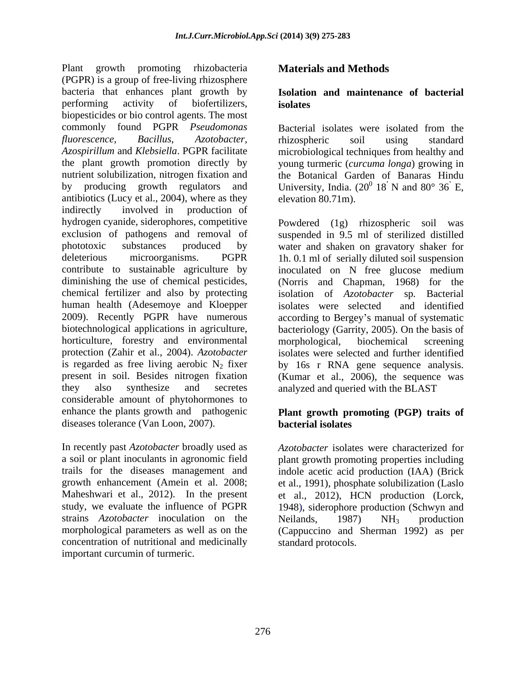Plant growth promoting rhizobacteria **Materials and Methods** (PGPR) is a group of free-living rhizosphere bacteria that enhances plant growth by **Isolation and maintenance of bacterial**  performing activity of biofertilizers, **isolates** biopesticides or bio control agents. The most commonly found PGPR *Pseudomonas*  Bacterial isolates were isolated from the *fluorescence*, *Bacillus*, *Azotobacter, Azospirillum* and *Klebsiella*. PGPR facilitate microbiological techniques from healthy and the plant growth promotion directly by young turmeric (*curcuma longa*) growing in nutrient solubilization, nitrogen fixation and the Botanical Garden of Banaras Hindu by producing growth regulators and University, India.  $(20^0 \ 18^7)$  N and  $80^{\circ} \ 36^{\prime}$  E, antibiotics (Lucy et al., 2004), where as they indirectly involved in production of hydrogen cyanide, siderophores, competitive exclusion of pathogens and removal of suspended in 9.5 ml of sterilized distilled phototoxic substances produced by water and shaken on gravatory shaker for deleterious microorganisms. PGPR 1h. 0.1 ml of serially diluted soil suspension contribute to sustainable agriculture by inoculated on N free glucose medium diminishing the use of chemical pesticides, (Norris and Chapman, 1968) for the chemical fertilizer and also by protecting human health (Adesemoye and Kloepper isolates were selected and identified 2009). Recently PGPR have numerous according to Bergey s manual of systematic biotechnological applications in agriculture, bacteriology (Garrity, 2005). On the basis of horticulture, forestry and environmental morphological, biochemical screening protection (Zahir et al., 2004). *Azotobacter*  isolates were selected and further identified is regarded as free living aerobic  $N_2$  fixer by 16s r RNA gene sequence analysis. present in soil. Besides nitrogen fixation (Kumar et al., 2006), the sequence was they also synthesize and secretes analyzed and queried with the BLAST considerable amount of phytohormones to enhance the plants growth and pathogenic **Plant growth promoting (PGP) traits of** diseases tolerance (Van Loon, 2007). **hacterial isolates** 

In recently past *Azotobacter* broadly used as *Azotobacter* isolates were characterized for a soil or plant inoculants in agronomic field plant growth promoting properties including trails for the diseases management and indole acetic acid production (IAA) (Brick growth enhancement (Amein et al. 2008; et al., 1991), phosphate solubilization (Laslo Maheshwari et al., 2012). In the present et al., 2012), HCN production (Lorck, study, we evaluate the influence of PGPR 1948), siderophore production (Schwyn and strains *Azotobacter* inoculation on the morphological parameters as well as on the (Cappuccino and Sherman 1992) as per concentration of nutritional and medicinally important curcumin of turmeric.

## **Materials and Methods**

# **isolates**

rhizospheric soil using standard 18 N and 80° 36 E, elevation 80.71m).

Powdered (1g) rhizospheric soil was isolation of *Azotobacter* sp*.* Bacterial isolates were selected and identified morphological, biochemical screening

# **bacterial isolates**

Neilands,  $1987$ ) NH<sub>3</sub> production standard protocols.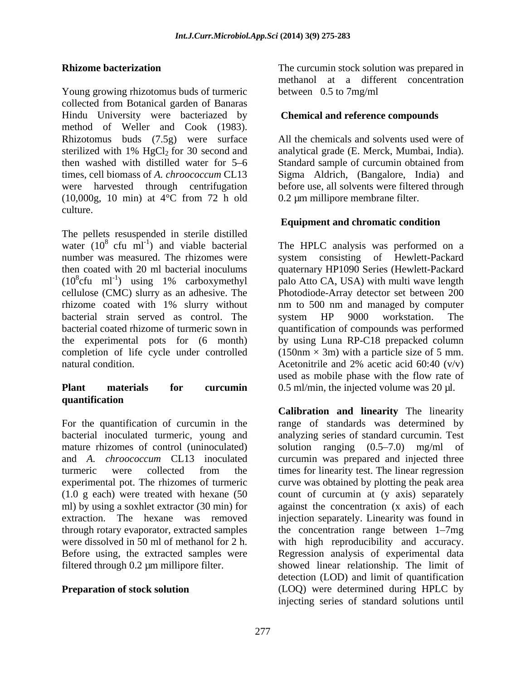Young growing rhizotomus buds of turmeric collected from Botanical garden of Banaras Hindu University were bacteriazed by method of Weller and Cook (1983).<br>Rhizotomus buds (7.5g) were surface All the chemicals and solvents used were of sterilized with 1% HgCl<sub>2</sub> for 30 second and analytical grade (E. Merck, Mumbai, India). then washed with distilled water for 5 6 Standard sample of curcumin obtained from times, cell biomass of *A. chroococcum* CL13 Sigma Aldrich, (Bangalore, India) and were harvested through centrifugation before use, all solvents were filtered through (10,000g, 10 min) at 4°C from 72 h old culture.

The pellets resuspended in sterile distilled water  $(10^8 \text{ cfu } \text{ml}^{-1})$  and viable bacterial The HPLC analysis was performed on a number was measured. The rhizomes were system consisting of Hewlett-Packard then coated with 20 ml bacterial inoculums quaternary HP1090 Series (Hewlett-Packard  $(10^8 \text{cfu} \text{ ml}^{-1})$  using 1% carboxymethyl cellulose (CMC) slurry as an adhesive. The Photodiode-Array detector set between 200 rhizome coated with 1% slurry without nm to 500 nm and managed by computer bacterial strain served as control. The system HP 9000 workstation. The bacterial coated rhizome of turmeric sown in quantification of compounds was performed the experimental pots for (6 month) by using Luna RP-C18 prepacked column completion of life cycle under controlled natural condition. Acetonitrile and 2% acetic acid 60:40 (v/v)

### **Plant materials for curcumin** 0.5 ml/min, the injected volume was 20 µl. **quantification**

**Rhizome bacterization** The curcumin stock solution was prepared in methanol at a different concentration between 0.5 to 7mg/ml

### **Chemical and reference compounds**

All the chemicals and solvents used were of 0.2 µm millipore membrane filter.

### **Equipment and chromatic condition**

cfu ml<sup>-1</sup>) using 1% carboxymethyl palo Atto CA, USA) with multi wave length system HP 9000 workstation. The  $(150nm \times 3m)$  with a particle size of 5 mm. Acetonitrile and 2% acetic acid 60:40 (v/v) used as mobile phase with the flow rate of

For the quantification of curcumin in the range of standards was determined by bacterial inoculated turmeric, young and analyzing series of standard curcumin. Test mature rhizomes of control (uninoculated) solution ranging  $(0.5-7.0)$  mg/ml of and *A. chroococcum* CL13 inoculated curcumin was prepared and injected three turmeric were collected from the times for linearity test. The linear regression experimental pot. The rhizomes of turmeric curve was obtained by plotting the peak area (1.0 g each) were treated with hexane (50 count of curcumin at (y axis) separately ml) by using a soxhlet extractor (30 min) for against the concentration (x axis) of each extraction. The hexane was removed injection separately. Linearity was found in through rotary evaporator, extracted samples the concentration range between 1–7mg were dissolved in 50 ml of methanol for 2 h. with high reproducibility and accuracy. Before using, the extracted samples were Regression analysis of experimental data filtered through 0.2 µm millipore filter. showed linear relationship. The limit of **Preparation of stock solution** (LOQ) were determined during HPLC by **Calibration and linearity** The linearity detection (LOD) and limit of quantification injecting series of standard solutions until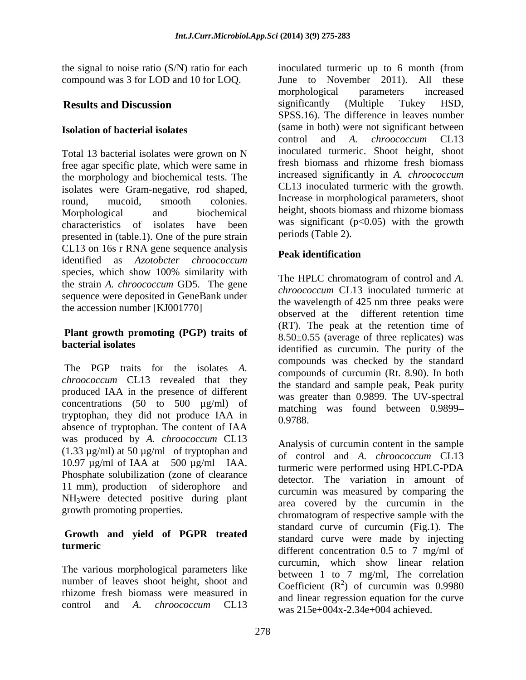compound was 3 for LOD and 10 for LOQ.

Total 13 bacterial isolates were grown on N free agar specific plate, which were same in the morphology and biochemical tests. The isolates were Gram-negative, rod shaped, presented in (table.1). One of the pure strain CL13 on 16s r RNA gene sequence analysis identified as *Azotobcter chroococcum* species, which show 100% similarity with the strain *A. chroococcum* GD5. The gene sequence were deposited in GeneBank under the accession number [KJ001770]

# **Plant growth promoting (PGP) traits of**

The PGP traits for the isolates *A. chroococcum* CL13 revealed that they produced IAA in the presence of different concentrations  $(50 \text{ to } 500 \text{ µg/ml})$  of tryptophan, they did not produce IAA in absence of tryptophan. The content of IAA was produced by *A. chroococcum* CL13 (1.33  $\mu$ g/ml) at 50  $\mu$ g/ml of tryptophan and<br>of control and A. *chronococcum* CL13 10.97 µg/ml of IAA at 500 µg/ml IAA. Phosphate solubilization (zone of clearance 11 mm), production of siderophore and  $NH<sub>3</sub>$ were detected positive during plant growth promoting properties.

# **Growth and yield of PGPR treated**

The various morphological parameters like number of leaves shoot height, shoot and rhizome fresh biomass were measured in

the signal to noise ratio (S/N) ratio for each inoculated turmeric up to 6 month (from **Results and Discussion Solution Example 3** assignificantly (Multiple Tukey HSD, **Isolation of bacterial isolates** (same in both) were not significant between round, mucoid, smooth colonies. Increase in morphological parameters, shoot Morphological and biochemical height, shoots biomass and rhizome biomass characteristics of isolates have been was significant  $(p<0.05)$  with the growth June to November 2011). All these morphological parameters increased significantly (Multiple Tukey HSD, SPSS.16). The difference in leaves number control and *A. chroococcum* CL13 inoculated turmeric. Shoot height, shoot fresh biomass and rhizome fresh biomass increased significantly in *A. chroococcum* CL13 inoculated turmeric with the growth. periods (Table 2).

# **Peak identification**

**bacterial isolates**<br>
identified as curcumin. The purity of the The HPLC chromatogram of control and *A. chroococcum* CL13 inoculated turmeric at the wavelength of 425 nm three peaks were observed at the different retention time (RT). The peak at the retention time of  $8.50\pm0.55$  (average of three replicates) was compounds was checked by the standard compounds of curcumin (Rt. 8.90). In both the standard and sample peak, Peak purity was greater than 0.9899. The UV-spectral matching was found between 0.9899 0.9788.

growth promoting properties.<br>
chromatogram of respective sample with the **turmeric** different concentration 0.5 to 7 mg/ml of control and *A. chroococcum* CL13 Analysis of curcumin content in the sample of control and *A. chroococcum* CL13 turmeric were performed using HPLC-PDA detector. The variation in amount of curcumin was measured by comparing the area covered by the curcumin in the standard curve of curcumin (Fig.1). The standard curve were made by injecting curcumin, which show linear relation between 1 to 7 mg/ml, The correlation Coefficient  $(R^2)$  of curcumin was 0.9980 ) of curcumin was 0.9980 and linear regression equation for the curve was 215e+004x-2.34e+004 achieved.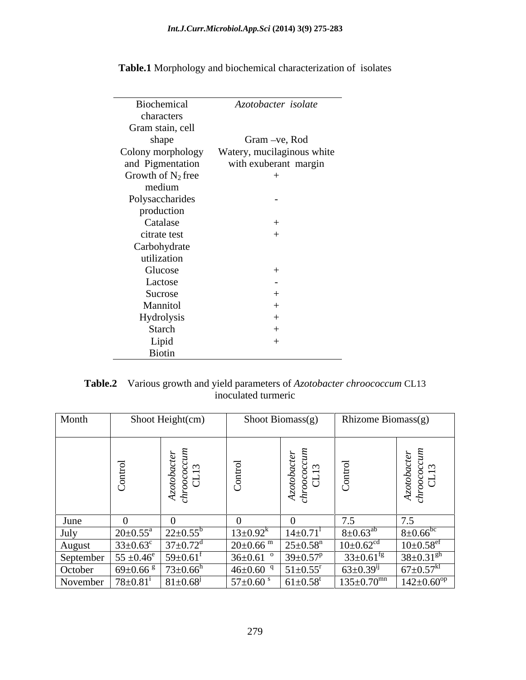|                      | the contract of the contract of the |
|----------------------|-------------------------------------|
| Biochemical          | Azotobacter isolate                 |
| characters           |                                     |
| Gram stain, cell     |                                     |
| shape                | Gram -ve, Rod                       |
| Colony morphology    | Watery, mucilaginous white          |
| and Pigmentation     | with exuberant margin               |
| Growth of $N_2$ free |                                     |
|                      | $+$                                 |
| medium               |                                     |
| Polysaccharides      | $\sim$                              |
| production           |                                     |
| Catalase             | $^{+}$                              |
| citrate test         |                                     |
| Carbohydrate         |                                     |
| utilization          |                                     |
| Glucose              | $^{+}$                              |
| Lactose              |                                     |
|                      | $\overline{\phantom{a}}$            |
| Sucrose              |                                     |
| Mannitol             |                                     |
| Hydrolysis           |                                     |
| Starch               |                                     |
| Lipid                |                                     |
| Biotin               |                                     |

**Table.1** Morphology and biochemical characterization of isolates

| Table.2 Various growth and yield parameters of Azotobacter chroococcum CL13 |  |  |
|-----------------------------------------------------------------------------|--|--|
| ulated turmeric                                                             |  |  |

| Month   |                                                                      | Shoot Height(cm)                               | Shoot Biomass(g)         |                                | Rhizome Biomass(g)                                        |                                 |
|---------|----------------------------------------------------------------------|------------------------------------------------|--------------------------|--------------------------------|-----------------------------------------------------------|---------------------------------|
|         |                                                                      |                                                |                          |                                |                                                           |                                 |
|         | $\overline{\phantom{0}}$                                             | ب ت<br>$\sim$<br>$\overline{\phantom{0}}$      | $\overline{\phantom{0}}$ | ່ຕ<br>$\overline{\phantom{0}}$ |                                                           | ్ అ<br>$\overline{\phantom{0}}$ |
|         |                                                                      | e š g<br>$\sim$ $\sim$<br>N ⊱<br>$\sim$ $\sim$ | O                        | S H                            |                                                           | ಕ್ಷ ರ<br>$z \rightarrow$        |
|         |                                                                      | း ပ                                            |                          |                                |                                                           |                                 |
| June    |                                                                      |                                                |                          |                                | 7 <sup>5</sup>                                            |                                 |
| July    | $20 \pm 0.55^{\circ}$ $22 \pm 0.55^{\circ}$                          |                                                | $13 \pm 0.92^k$          | $14 \pm 0.71$ <sup>1</sup>     | $8 \pm 0.63^{ab}$                                         | $8 \pm 0.66$ <sup>bc</sup>      |
| August  | $33\pm0.63^c$ 37 $\pm0.72^d$                                         |                                                | $20 \pm 0.66$ m          | $25 \pm 0.58$ <sup>n</sup>     | $10\pm0.62$ <sup>cd</sup>                                 | $10\pm0.58$ <sup>ef</sup>       |
|         | September   $55 \pm 0.46^e$   $59 \pm 0.61^f$                        |                                                | $36 \pm 0.61$            | $39 \pm 0.57^p$                | $33 \pm 0.61$ <sup>fg</sup>                               | $38 \pm 0.31$ <sup>gh</sup>     |
| October | $69 \pm 0.66$ $\frac{\text{g}}{\text{g}}$ 73 $\pm 0.66$ <sup>h</sup> |                                                | $46\pm0.60$              | $51 \pm 0.55$ <sup>r</sup>     | $63 \pm 0.39^{i}$                                         | $67 \pm 0.57$ <sup>kl</sup>     |
|         | November   $78 \pm 0.81^i$   $81 \pm 0.68^j$                         |                                                | $57 \pm 0.60$ s          | $61 \pm 0.58$ <sup>t</sup>     | $135 \pm 0.70$ <sup>mn</sup> $142 \pm 0.60$ <sup>op</sup> |                                 |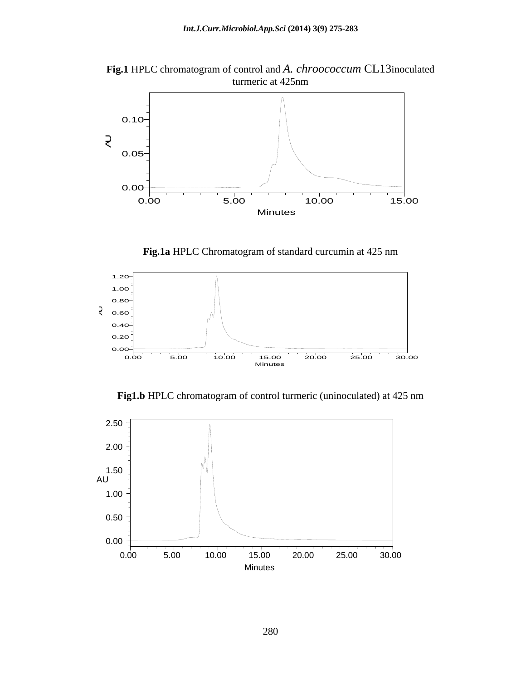**Fig.1** HPLC chromatogram of control and *A. chroococcum* CL13inoculated turneric at 425nm turmeric at 425nm



**Fig.1a** HPLC Chromatogram of standard curcumin at 425 nm



**Fig1.b** HPLC chromatogram of control turmeric (uninoculated) at 425 nm

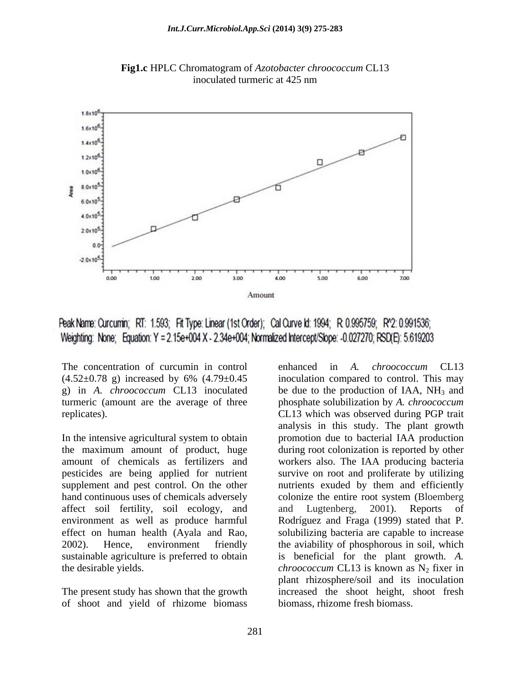

**Fig1.c** HPLC Chromatogram of *Azotobacter chroococcum* CL13 inoculated turmeric at 425 nm

Peak Name: Curcumin; RT: 1.593; Fit Type: Linear (1st Order); Cal Curve Id: 1994; R 0.995759; R^2: 0.991536; Weighting: None; Equation: Y = 2.15e+004 X - 2.34e+004; Normalized Intercept/Slope: -0.027270; RSD(E): 5.619203

The concentration of curcumin in control enhanced in A. *chroococcum* CL13

affect soil fertility, soil ecology, and and Lugtenberg, 2001). Reports of

of shoot and yield of rhizome biomass

 $(4.52\pm0.78 \text{ g})$  increased by 6%  $(4.79\pm0.45 \text{ inoculation compared to control. This may$ g) in *A. chroococcum* CL13 inoculated be due to the production of IAA, NH<sub>3</sub> and turmeric (amount are the average of three phosphate solubilization by *A. chroococcum* replicates). CL13 which was observed during PGP trait In the intensive agricultural system to obtain promotion due to bacterial IAA production the maximum amount of product, huge during root colonization is reported by other amount of chemicals as fertilizers and workers also. The IAA producing bacteria pesticides are being applied for nutrient survive on root and proliferate by utilizing supplement and pest control. On the other nutrients exuded by them and efficiently hand continuous uses of chemicals adversely colonize the entire root system (Bloemberg environment as well as produce harmful Rodríguez and Fraga (1999) stated that P. effect on human health (Ayala and Rao, solubilizing bacteria are capable to increase 2002). Hence, environment friendly the aviability of phosphorous in soil, which sustainable agriculture is preferred to obtain is beneficial for the plant growth. *A.* the desirable yields. The *chroococcum* CL13 is known as N<sub>2</sub> fixer in The present study has shown that the growth increased the shoot height, shoot fresh enhanced in *A. chroococcum* CL13 inoculation compared to control. This may analysis in this study. The plant growth and Lugtenberg, 2001). Reports of plant rhizosphere/soil and its inoculation biomass, rhizome fresh biomass.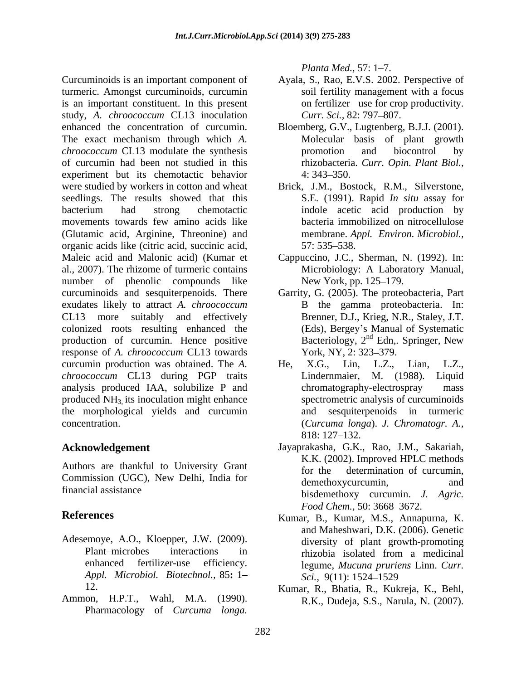Curcuminoids is an important component of Ayala, S., Rao, E.V.S.2002. Perspective of turmeric. Amongst curcuminoids, curcumin is an important constituent. In this present on fertilizer use for cro<br>study, A. *chroococcum* CL13 inoculation *Curr. Sci.*, 82: 797–807. study, *A. chroococcum* CL13 inoculation enhanced the concentration of curcumin. Bloemberg, G.V., Lugtenberg, B.J.J. (2001).<br>The exact mechanism through which A. Molecular basis of plant growth The exact mechanism through which *A. chroococcum* CL13 modulate the synthesis **b** promotion and biocontrol by of curcumin had been not studied in this experiment but its chemotactic behavior 4:343-350. were studied by workers in cotton and wheat Brick, J.M., Bostock, R.M., Silverstone, seedlings. The results showed that this bacterium had strong chemotactic movements towards few amino acids like (Glutamic acid, Arginine, Threonine) and organic acids like (citric acid, succinic acid, Maleic acid and Malonic acid) (Kumar et Cappuccino, J.C., Sherman, N. (1992). In: al., 2007). The rhizome of turmeric contains number of phenolic compounds like New York, pp. 125–179. curcuminoids and sesquiterpenoids. There Garrity, G. (2005). The proteobacteria, Part exudates likely to attract *A. chroococcum* CL13 more suitably and effectively Brenner, D.J., Krieg, N.R., Staley, J.T. colonized roots resulting enhanced the production of curcumin. Hence positive Bacteriology,  $2^{nd}$  Edn, response of A. *chroococcum* CL13 towards York, NY, 2: 323–379. response of *A. chroococcum* CL13 towards curcumin production was obtained. The *A*. He, X.G., Lin, L.Z., Lian, L.Z., *chroococcum* CL13 during PGP traits analysis produced IAA, solubilize P and produced  $NH<sub>3</sub>$  its inoculation might enhance the morphological yields and curcumin

Authors are thankful to University Grant for the determination of curcumin. Commission (UGC), New Delhi, India for the determination of careanimity, and

- *Appl. Microbiol. Biotechnol.,* 85**:** 1
- Ammon, H.P.T., Wahl, M.A. (1990). R.K., Dudeja, S.S., Narula, N. (2007). Pharmacology of *Curcuma longa*.

*Planta Med., 57: 1–7.* 

- soil fertility management with a focus on fertilizer use for crop productivity. *Curr. Sci., 82: 797–807.*
- Bloemberg, G.V., Lugtenberg, B.J.J. (2001). Molecular basis of plant growth promotion and biocontrol by rhizobacteria. *Curr. Opin. Plant Biol.,*  $4: 343 - 350.$
- S.E. (1991). Rapid *In situ* assay for indole acetic acid production by bacteria immobilized on nitrocellulose membrane. *Appl. Environ. Microbiol.,* 57: 535–538.
- Microbiology: A Laboratory Manual, New York, pp. 125–179.
- B the gamma proteobacteria. In: (Eds), Bergey's Manual of Systematic Bacteriology,  $2<sup>nd</sup>$  Edn, Springer, New <sup>nd</sup> Edn,. Springer, New York, NY, 2: 323–379.
- concentration. (*Curcuma longa*). *J. Chromatogr. A.,* He, X.G., Lin, L.Z., Lian, L.Z., Lindernmaier, M.  $(1988)$ . chromatography-electrospray spectrometric analysis of curcuminoids sesquiterpenoids in turmeric 818: 127 132.
- **Acknowledgement** Jayaprakasha, G.K., Rao, J.M., Sakariah, financial assistance bisdemethoxy curcumin. *J. Agric.* K.K. (2002). Improved HPLC methods for the determination of curcumin, demethoxycurcumin, *Food Chem.,* 50: 3668-3672.
- **References** Kumar, B., Kumar, M.S., Annapurna, K. Adesemoye, A.O., Kloepper, J.W. (2009). diversity of plant growth-promoting Plant—microbes interactions in this phizobia isolated from a medicinal enhanced fertilizer-use efficiency. legume, Mucuna pruriens Linn. Curr. and Maheshwari, D.K. (2006). Genetic diversity of plant growth-promoting rhizobia isolated from a medicinal legume, *Mucuna pruriens* Linn. *Curr. Sci.,* 9(11): 1524 <sup>1529</sup>
	- 12. Kumar, R., Bhatia, R., Kukreja, K., Behl, R.K., Dudeja, S.S., Narula, N. (2007).